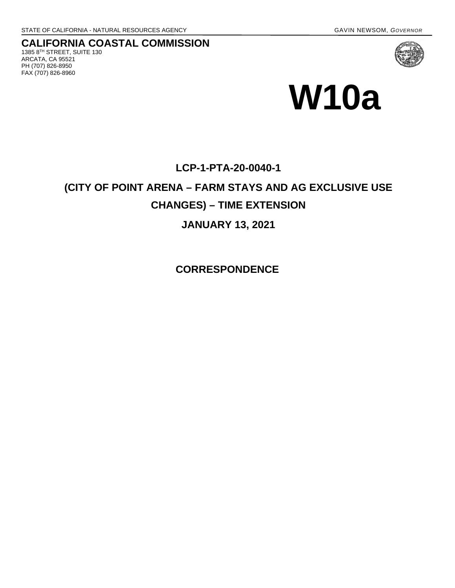FAX (707) 826-8960

#### **CALIFORNIA COASTAL COMMISSION** 1385 8TH STREET, SUITE 130 ARCATA, CA 95521 PH (707) 826-8950



# **W10a**

### **LCP-1-PTA-20-0040-1**

## **(CITY OF POINT ARENA – FARM STAYS AND AG EXCLUSIVE USE CHANGES) – TIME EXTENSION**

#### **JANUARY 13, 2021**

**CORRESPONDENCE**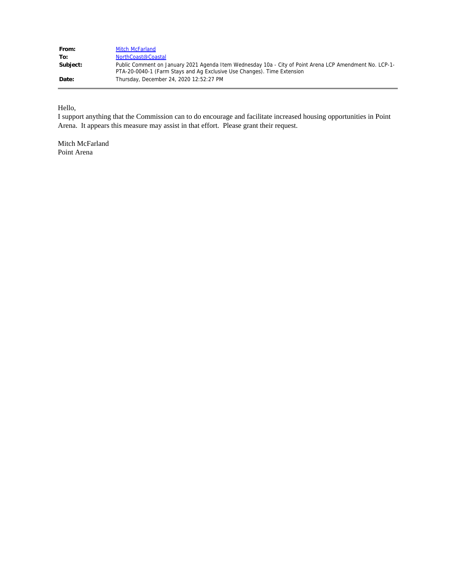| From:    | <b>Mitch McFarland</b>                                                                                                                                                             |
|----------|------------------------------------------------------------------------------------------------------------------------------------------------------------------------------------|
| To:      | NorthCoast@Coastal                                                                                                                                                                 |
| Subject: | Public Comment on January 2021 Agenda Item Wednesday 10a - City of Point Arena LCP Amendment No. LCP-1-<br>PTA-20-0040-1 (Farm Stays and Ag Exclusive Use Changes). Time Extension |
| Date:    | Thursday, December 24, 2020 12:52:27 PM                                                                                                                                            |

Hello,

I support anything that the Commission can to do encourage and facilitate increased housing opportunities in Point Arena. It appears this measure may assist in that effort. Please grant their request.

Mitch McFarland Point Arena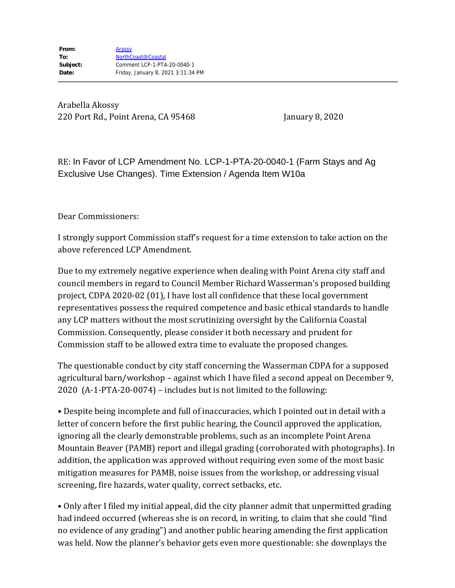Arabella Akossy 220 Port Rd., Point Arena, CA 95468 January 8, 2020

RE: In Favor of LCP Amendment No. LCP-1-PTA-20-0040-1 (Farm Stays and Ag Exclusive Use Changes). Time Extension / Agenda Item W10a

Dear Commissioners:

I strongly support Commission staff's request for a time extension to take action on the above referenced LCP Amendment.

Due to my extremely negative experience when dealing with Point Arena city staff and council members in regard to Council Member Richard Wasserman's proposed building project, CDPA 2020-02 (01), I have lost all confidence that these local government representatives possess the required competence and basic ethical standards to handle any LCP matters without the most scrutinizing oversight by the California Coastal Commission. Consequently, please consider it both necessary and prudent for Commission staff to be allowed extra time to evaluate the proposed changes.

The questionable conduct by city staff concerning the Wasserman CDPA for a supposed agricultural barn/workshop – against which I have filed a second appeal on December 9, 2020 (A-1-PTA-20-0074) – includes but is not limited to the following:

• Despite being incomplete and full of inaccuracies, which I pointed out in detail with a letter of concern before the first public hearing, the Council approved the application, ignoring all the clearly demonstrable problems, such as an incomplete Point Arena Mountain Beaver (PAMB) report and illegal grading (corroborated with photographs). In addition, the application was approved without requiring even some of the most basic mitigation measures for PAMB, noise issues from the workshop, or addressing visual screening, fire hazards, water quality, correct setbacks, etc.

• Only after I filed my initial appeal, did the city planner admit that unpermitted grading had indeed occurred (whereas she is on record, in writing, to claim that she could "find no evidence of any grading") and another public hearing amending the first application was held. Now the planner's behavior gets even more questionable: she downplays the